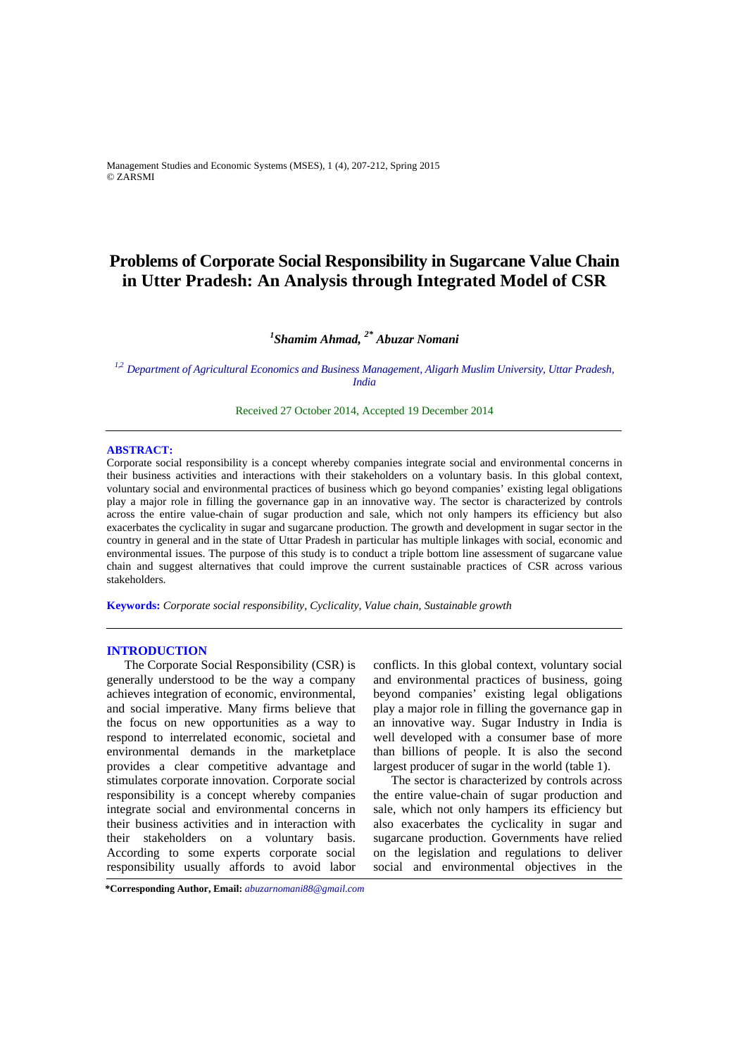Management Studies and Economic Systems (MSES), 1 (4), 207-212, Spring 2015 © ZARSMI

# **Problems of Corporate Social Responsibility in Sugarcane Value Chain in Utter Pradesh: An Analysis through Integrated Model of CSR**

# *1 Shamim Ahmad, 2\* Abuzar Nomani*

*1,2 Department of Agricultural Economics and Business Management, Aligarh Muslim University, Uttar Pradesh, India* 

Received 27 October 2014, Accepted 19 December 2014

## **ABSTRACT:**

Corporate social responsibility is a concept whereby companies integrate social and environmental concerns in their business activities and interactions with their stakeholders on a voluntary basis. In this global context, voluntary social and environmental practices of business which go beyond companies' existing legal obligations play a major role in filling the governance gap in an innovative way. The sector is characterized by controls across the entire value-chain of sugar production and sale, which not only hampers its efficiency but also exacerbates the cyclicality in sugar and sugarcane production. The growth and development in sugar sector in the country in general and in the state of Uttar Pradesh in particular has multiple linkages with social, economic and environmental issues. The purpose of this study is to conduct a triple bottom line assessment of sugarcane value chain and suggest alternatives that could improve the current sustainable practices of CSR across various stakeholders.

**Keywords:** *Corporate social responsibility, Cyclicality, Value chain, Sustainable growth* 

# **INTRODUCTION**

The Corporate Social Responsibility (CSR) is generally understood to be the way a company achieves integration of economic, environmental, and social imperative. Many firms believe that the focus on new opportunities as a way to respond to interrelated economic, societal and environmental demands in the marketplace provides a clear competitive advantage and stimulates corporate innovation. Corporate social responsibility is a concept whereby companies integrate social and environmental concerns in their business activities and in interaction with their stakeholders on a voluntary basis. According to some experts corporate social responsibility usually affords to avoid labor

conflicts. In this global context, voluntary social and environmental practices of business, going beyond companies' existing legal obligations play a major role in filling the governance gap in an innovative way. Sugar Industry in India is well developed with a consumer base of more than billions of people. It is also the second largest producer of sugar in the world (table 1).

The sector is characterized by controls across the entire value-chain of sugar production and sale, which not only hampers its efficiency but also exacerbates the cyclicality in sugar and sugarcane production. Governments have relied on the legislation and regulations to deliver social and environmental objectives in the

**<sup>\*</sup>Corresponding Author, Email:** *abuzarnomani88@gmail.com*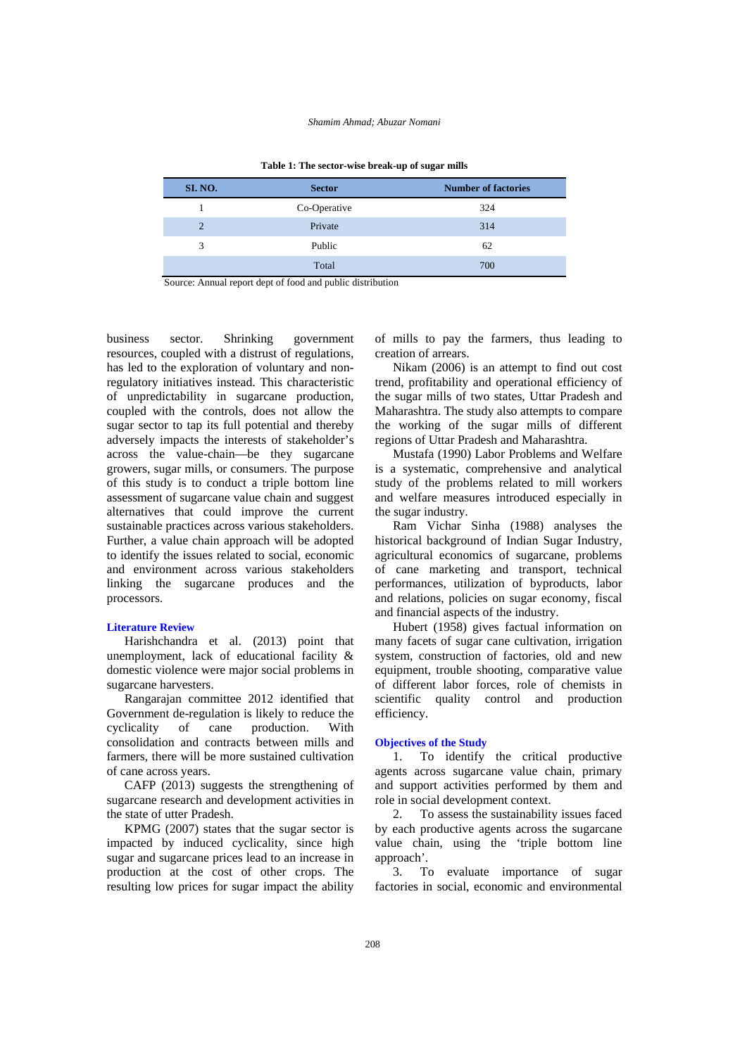#### *Shamim Ahmad; Abuzar Nomani*

|                |               | $\sim$                     |
|----------------|---------------|----------------------------|
| <b>SI. NO.</b> | <b>Sector</b> | <b>Number of factories</b> |
|                | Co-Operative  | 324                        |
| $\overline{2}$ | Private       | 314                        |
| 3              | Public        | 62                         |
|                | Total         | 700                        |

**Table 1: The sector-wise break-up of sugar mills** 

Source: Annual report dept of food and public distribution

business sector. Shrinking government resources, coupled with a distrust of regulations, has led to the exploration of voluntary and nonregulatory initiatives instead. This characteristic of unpredictability in sugarcane production, coupled with the controls, does not allow the sugar sector to tap its full potential and thereby adversely impacts the interests of stakeholder's across the value-chain—be they sugarcane growers, sugar mills, or consumers. The purpose of this study is to conduct a triple bottom line assessment of sugarcane value chain and suggest alternatives that could improve the current sustainable practices across various stakeholders. Further, a value chain approach will be adopted to identify the issues related to social, economic and environment across various stakeholders linking the sugarcane produces and the processors.

#### **Literature Review**

Harishchandra et al. (2013) point that unemployment, lack of educational facility & domestic violence were major social problems in sugarcane harvesters.

Rangarajan committee 2012 identified that Government de-regulation is likely to reduce the cyclicality of cane production. With consolidation and contracts between mills and farmers, there will be more sustained cultivation of cane across years.

CAFP (2013) suggests the strengthening of sugarcane research and development activities in the state of utter Pradesh.

KPMG (2007) states that the sugar sector is impacted by induced cyclicality, since high sugar and sugarcane prices lead to an increase in production at the cost of other crops. The resulting low prices for sugar impact the ability

of mills to pay the farmers, thus leading to creation of arrears.

Nikam (2006) is an attempt to find out cost trend, profitability and operational efficiency of the sugar mills of two states, Uttar Pradesh and Maharashtra. The study also attempts to compare the working of the sugar mills of different regions of Uttar Pradesh and Maharashtra.

Mustafa (1990) Labor Problems and Welfare is a systematic, comprehensive and analytical study of the problems related to mill workers and welfare measures introduced especially in the sugar industry.

Ram Vichar Sinha (1988) analyses the historical background of Indian Sugar Industry, agricultural economics of sugarcane, problems of cane marketing and transport, technical performances, utilization of byproducts, labor and relations, policies on sugar economy, fiscal and financial aspects of the industry.

Hubert (1958) gives factual information on many facets of sugar cane cultivation, irrigation system, construction of factories, old and new equipment, trouble shooting, comparative value of different labor forces, role of chemists in scientific quality control and production efficiency.

#### **Objectives of the Study**

1. To identify the critical productive agents across sugarcane value chain, primary and support activities performed by them and role in social development context.

2. To assess the sustainability issues faced by each productive agents across the sugarcane value chain, using the 'triple bottom line approach'.

3. To evaluate importance of sugar factories in social, economic and environmental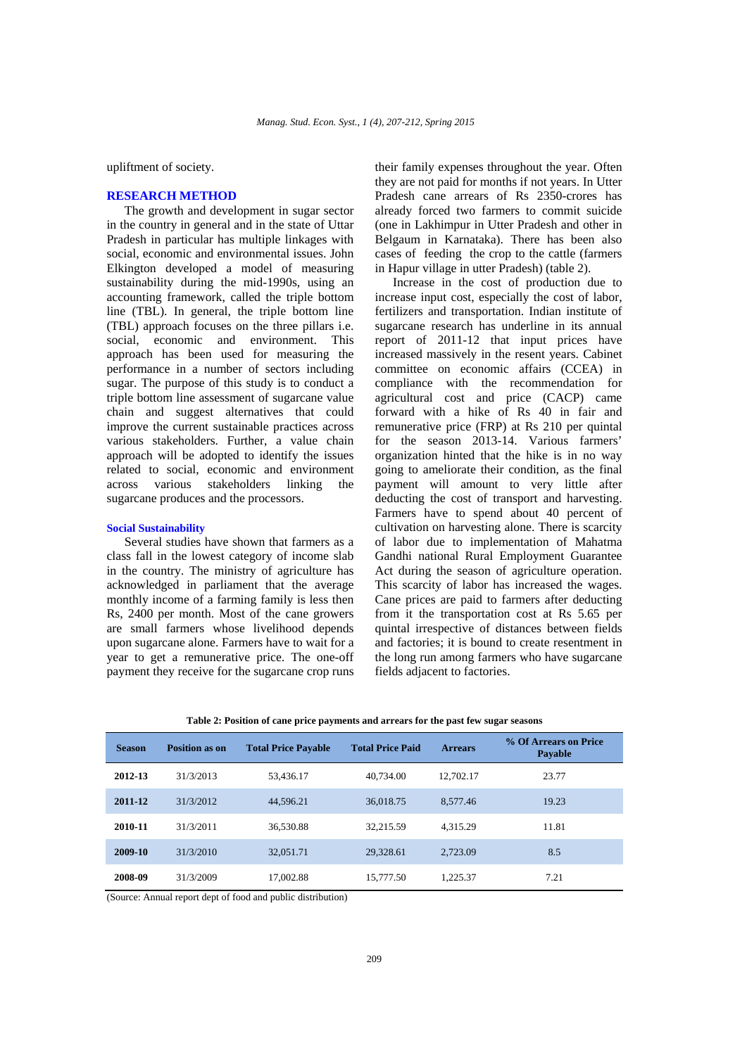upliftment of society.

#### **RESEARCH METHOD**

The growth and development in sugar sector in the country in general and in the state of Uttar Pradesh in particular has multiple linkages with social, economic and environmental issues. John Elkington developed a model of measuring sustainability during the mid-1990s, using an accounting framework, called the triple bottom line (TBL). In general, the triple bottom line (TBL) approach focuses on the three pillars i.e. social, economic and environment. This approach has been used for measuring the performance in a number of sectors including sugar. The purpose of this study is to conduct a triple bottom line assessment of sugarcane value chain and suggest alternatives that could improve the current sustainable practices across various stakeholders. Further, a value chain approach will be adopted to identify the issues related to social, economic and environment across various stakeholders linking the sugarcane produces and the processors.

# **Social Sustainability**

Several studies have shown that farmers as a class fall in the lowest category of income slab in the country. The ministry of agriculture has acknowledged in parliament that the average monthly income of a farming family is less then Rs, 2400 per month. Most of the cane growers are small farmers whose livelihood depends upon sugarcane alone. Farmers have to wait for a year to get a remunerative price. The one-off payment they receive for the sugarcane crop runs their family expenses throughout the year. Often they are not paid for months if not years. In Utter Pradesh cane arrears of Rs 2350-crores has already forced two farmers to commit suicide (one in Lakhimpur in Utter Pradesh and other in Belgaum in Karnataka). There has been also cases of feeding the crop to the cattle (farmers in Hapur village in utter Pradesh) (table 2).

Increase in the cost of production due to increase input cost, especially the cost of labor, fertilizers and transportation. Indian institute of sugarcane research has underline in its annual report of 2011-12 that input prices have increased massively in the resent years. Cabinet committee on economic affairs (CCEA) in compliance with the recommendation for agricultural cost and price (CACP) came forward with a hike of Rs 40 in fair and remunerative price (FRP) at Rs 210 per quintal for the season 2013-14. Various farmers' organization hinted that the hike is in no way going to ameliorate their condition, as the final payment will amount to very little after deducting the cost of transport and harvesting. Farmers have to spend about 40 percent of cultivation on harvesting alone. There is scarcity of labor due to implementation of Mahatma Gandhi national Rural Employment Guarantee Act during the season of agriculture operation. This scarcity of labor has increased the wages. Cane prices are paid to farmers after deducting from it the transportation cost at Rs 5.65 per quintal irrespective of distances between fields and factories; it is bound to create resentment in the long run among farmers who have sugarcane fields adjacent to factories.

|  |  |  |  | Table 2: Position of cane price payments and arrears for the past few sugar seasons |
|--|--|--|--|-------------------------------------------------------------------------------------|
|  |  |  |  |                                                                                     |

| <b>Season</b> | Position as on | <b>Total Price Pavable</b> | <b>Total Price Paid</b> | <b>Arrears</b> | % Of Arrears on Price<br>Payable |
|---------------|----------------|----------------------------|-------------------------|----------------|----------------------------------|
| 2012-13       | 31/3/2013      | 53,436.17                  | 40.734.00               | 12,702.17      | 23.77                            |
| 2011-12       | 31/3/2012      | 44,596.21                  | 36,018.75               | 8.577.46       | 19.23                            |
| 2010-11       | 31/3/2011      | 36,530.88                  | 32.215.59               | 4.315.29       | 11.81                            |
| 2009-10       | 31/3/2010      | 32,051.71                  | 29,328.61               | 2,723.09       | 8.5                              |
| 2008-09       | 31/3/2009      | 17,002.88                  | 15,777.50               | 1.225.37       | 7.21                             |

(Source: Annual report dept of food and public distribution)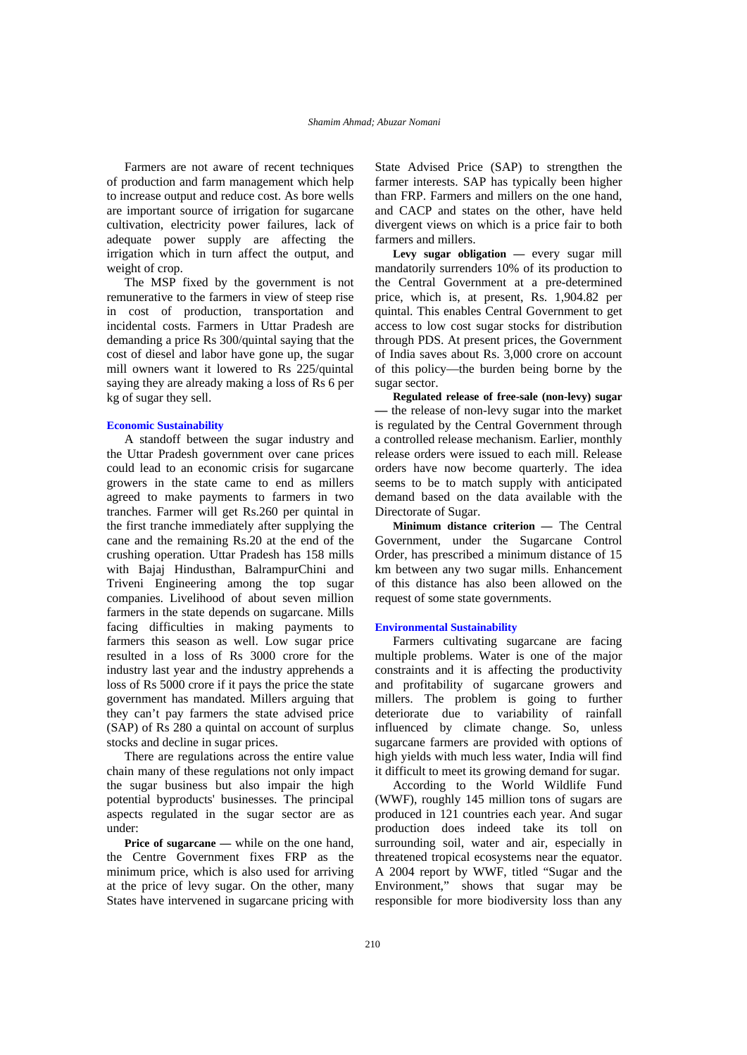Farmers are not aware of recent techniques of production and farm management which help to increase output and reduce cost. As bore wells are important source of irrigation for sugarcane cultivation, electricity power failures, lack of adequate power supply are affecting the irrigation which in turn affect the output, and weight of crop.

The MSP fixed by the government is not remunerative to the farmers in view of steep rise in cost of production, transportation and incidental costs. Farmers in Uttar Pradesh are demanding a price Rs 300/quintal saying that the cost of diesel and labor have gone up, the sugar mill owners want it lowered to Rs 225/quintal saying they are already making a loss of Rs 6 per kg of sugar they sell.

#### **Economic Sustainability**

A standoff between the sugar industry and the Uttar Pradesh government over cane prices could lead to an economic crisis for sugarcane growers in the state came to end as millers agreed to make payments to farmers in two tranches. Farmer will get Rs.260 per quintal in the first tranche immediately after supplying the cane and the remaining Rs.20 at the end of the crushing operation. Uttar Pradesh has 158 mills with Bajaj Hindusthan, BalrampurChini and Triveni Engineering among the top sugar companies. Livelihood of about seven million farmers in the state depends on sugarcane. Mills facing difficulties in making payments to farmers this season as well. Low sugar price resulted in a loss of Rs 3000 crore for the industry last year and the industry apprehends a loss of Rs 5000 crore if it pays the price the state government has mandated. Millers arguing that they can't pay farmers the state advised price (SAP) of Rs 280 a quintal on account of surplus stocks and decline in sugar prices.

There are regulations across the entire value chain many of these regulations not only impact the sugar business but also impair the high potential byproducts' businesses. The principal aspects regulated in the sugar sector are as under:

**Price of sugarcane —** while on the one hand, the Centre Government fixes FRP as the minimum price, which is also used for arriving at the price of levy sugar. On the other, many States have intervened in sugarcane pricing with

State Advised Price (SAP) to strengthen the farmer interests. SAP has typically been higher than FRP. Farmers and millers on the one hand, and CACP and states on the other, have held divergent views on which is a price fair to both farmers and millers.

**Levy sugar obligation —** every sugar mill mandatorily surrenders 10% of its production to the Central Government at a pre-determined price, which is, at present, Rs. 1,904.82 per quintal. This enables Central Government to get access to low cost sugar stocks for distribution through PDS. At present prices, the Government of India saves about Rs. 3,000 crore on account of this policy—the burden being borne by the sugar sector.

**Regulated release of free-sale (non-levy) sugar —** the release of non-levy sugar into the market is regulated by the Central Government through a controlled release mechanism. Earlier, monthly release orders were issued to each mill. Release orders have now become quarterly. The idea seems to be to match supply with anticipated demand based on the data available with the Directorate of Sugar.

**Minimum distance criterion —** The Central Government, under the Sugarcane Control Order, has prescribed a minimum distance of 15 km between any two sugar mills. Enhancement of this distance has also been allowed on the request of some state governments.

#### **Environmental Sustainability**

Farmers cultivating sugarcane are facing multiple problems. Water is one of the major constraints and it is affecting the productivity and profitability of sugarcane growers and millers. The problem is going to further deteriorate due to variability of rainfall influenced by climate change. So, unless sugarcane farmers are provided with options of high yields with much less water, India will find it difficult to meet its growing demand for sugar.

According to the World Wildlife Fund (WWF), roughly 145 million tons of sugars are produced in 121 countries each year. And sugar production does indeed take its toll on surrounding soil, water and air, especially in threatened tropical ecosystems near the equator. A 2004 report by WWF, titled "Sugar and the Environment," shows that sugar may be responsible for more biodiversity loss than any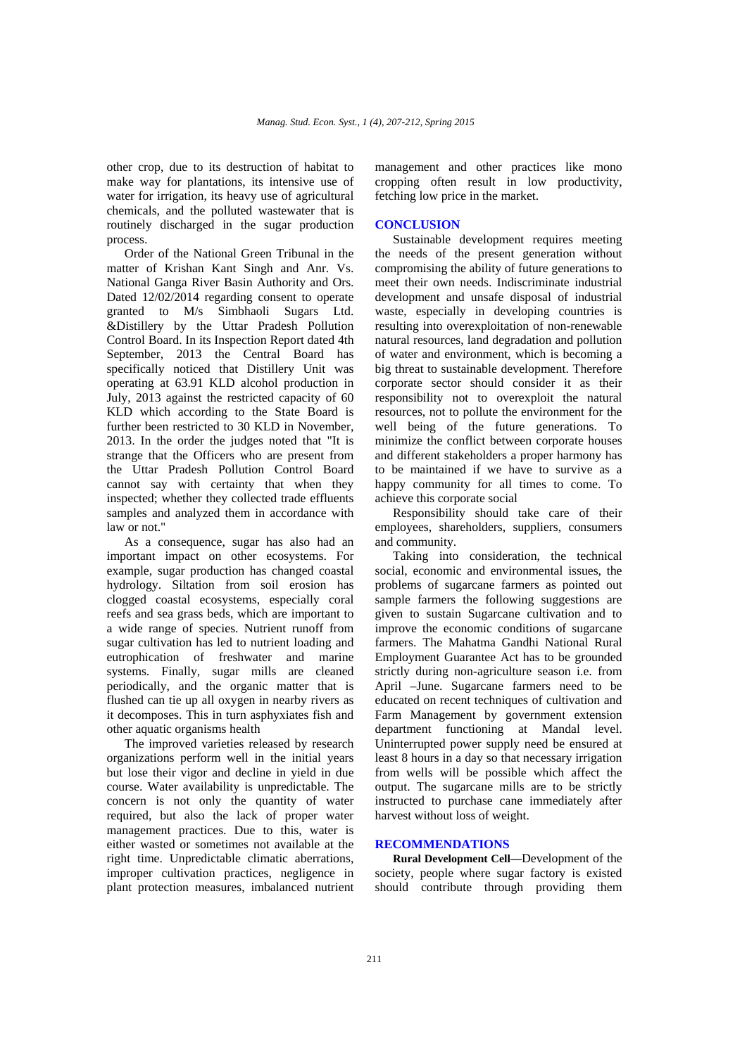other crop, due to its destruction of habitat to make way for plantations, its intensive use of water for irrigation, its heavy use of agricultural chemicals, and the polluted wastewater that is routinely discharged in the sugar production process.

Order of the National Green Tribunal in the matter of Krishan Kant Singh and Anr. Vs. National Ganga River Basin Authority and Ors. Dated 12/02/2014 regarding consent to operate granted to M/s Simbhaoli Sugars Ltd. &Distillery by the Uttar Pradesh Pollution Control Board. In its Inspection Report dated 4th September, 2013 the Central Board has specifically noticed that Distillery Unit was operating at 63.91 KLD alcohol production in July, 2013 against the restricted capacity of 60 KLD which according to the State Board is further been restricted to 30 KLD in November. 2013. In the order the judges noted that "It is strange that the Officers who are present from the Uttar Pradesh Pollution Control Board cannot say with certainty that when they inspected; whether they collected trade effluents samples and analyzed them in accordance with law or not."

As a consequence, sugar has also had an important impact on other ecosystems. For example, sugar production has changed coastal hydrology. Siltation from soil erosion has clogged coastal ecosystems, especially coral reefs and sea grass beds, which are important to a wide range of species. Nutrient runoff from sugar cultivation has led to nutrient loading and eutrophication of freshwater and marine systems. Finally, sugar mills are cleaned periodically, and the organic matter that is flushed can tie up all oxygen in nearby rivers as it decomposes. This in turn asphyxiates fish and other aquatic organisms health

The improved varieties released by research organizations perform well in the initial years but lose their vigor and decline in yield in due course. Water availability is unpredictable. The concern is not only the quantity of water required, but also the lack of proper water management practices. Due to this, water is either wasted or sometimes not available at the right time. Unpredictable climatic aberrations, improper cultivation practices, negligence in plant protection measures, imbalanced nutrient management and other practices like mono cropping often result in low productivity, fetching low price in the market.

# **CONCLUSION**

Sustainable development requires meeting the needs of the present generation without compromising the ability of future generations to meet their own needs. Indiscriminate industrial development and unsafe disposal of industrial waste, especially in developing countries is resulting into overexploitation of non-renewable natural resources, land degradation and pollution of water and environment, which is becoming a big threat to sustainable development. Therefore corporate sector should consider it as their responsibility not to overexploit the natural resources, not to pollute the environment for the well being of the future generations. To minimize the conflict between corporate houses and different stakeholders a proper harmony has to be maintained if we have to survive as a happy community for all times to come. To achieve this corporate social

Responsibility should take care of their employees, shareholders, suppliers, consumers and community.

Taking into consideration, the technical social, economic and environmental issues, the problems of sugarcane farmers as pointed out sample farmers the following suggestions are given to sustain Sugarcane cultivation and to improve the economic conditions of sugarcane farmers. The Mahatma Gandhi National Rural Employment Guarantee Act has to be grounded strictly during non-agriculture season i.e. from April –June. Sugarcane farmers need to be educated on recent techniques of cultivation and Farm Management by government extension department functioning at Mandal level. Uninterrupted power supply need be ensured at least 8 hours in a day so that necessary irrigation from wells will be possible which affect the output. The sugarcane mills are to be strictly instructed to purchase cane immediately after harvest without loss of weight.

## **RECOMMENDATIONS**

**Rural Development Cell—**Development of the society, people where sugar factory is existed should contribute through providing them